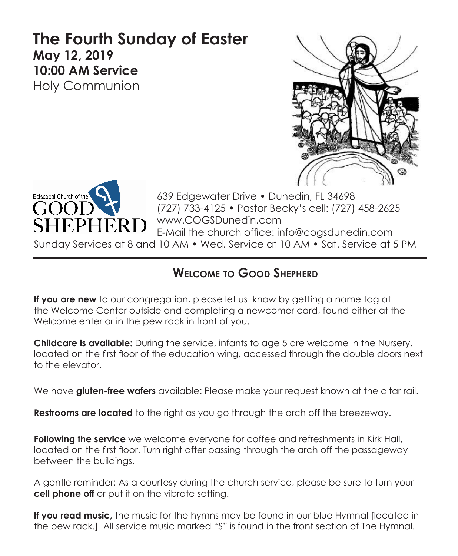# **The Fourth Sunday of Easter May 12, 2019 10:00 AM Service**  Holy Communion





639 Edgewater Drive • Dunedin, FL 34698 (727) 733-4125 • Pastor Becky's cell: (727) 458-2625 www.COGSDunedin.com E-Mail the church office: info@cogsdunedin.com

Sunday Services at 8 and 10 AM • Wed. Service at 10 AM • Sat. Service at 5 PM

## **Welcome to Good Shepherd**

**If you are new** to our congregation, please let us know by getting a name tag at the Welcome Center outside and completing a newcomer card, found either at the Welcome enter or in the pew rack in front of you.

**Childcare is available:** During the service, infants to age 5 are welcome in the Nursery, located on the first floor of the education wing, accessed through the double doors next to the elevator.

We have **gluten-free wafers** available: Please make your request known at the altar rail.

**Restrooms are located** to the right as you go through the arch off the breezeway.

**Following the service** we welcome everyone for coffee and refreshments in Kirk Hall, located on the first floor. Turn right after passing through the arch off the passageway between the buildings.

A gentle reminder: As a courtesy during the church service, please be sure to turn your **cell phone off** or put it on the vibrate setting.

**If you read music,** the music for the hymns may be found in our blue Hymnal [located in the pew rack.] All service music marked "S" is found in the front section of The Hymnal.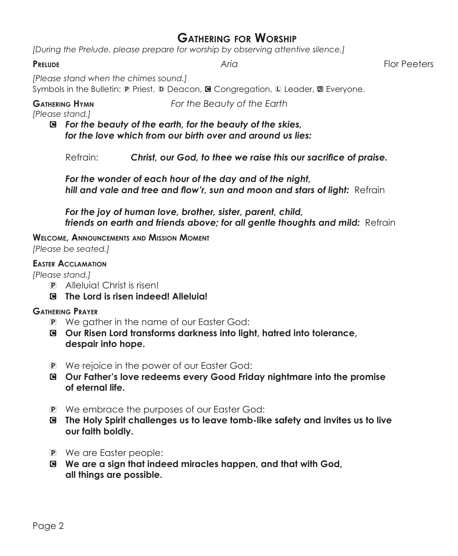## **Gathering for Worship**

*[During the Prelude, please prepare for worship by observing attentive silence.]*

**Prelude** *Aria* Flor Peeters

*[Please stand when the chimes sound.]*

Symbols in the Bulletin:  $\mathbb D$  Priest,  $\mathbb D$  Deacon, **G** Congregation,  $\mathbb L$  Leader,  $\mathbb D$  Everyone.

**Gathering Hymn** *For the Beauty of the Earth*

*[Please stand.]*

C *For the beauty of the earth, for the beauty of the skies, for the love which from our birth over and around us lies:*

Refrain: *Christ, our God, to thee we raise this our sacrifice of praise.*

*For the wonder of each hour of the day and of the night, hill and vale and tree and flow'r, sun and moon and stars of light:* Refrain

*For the joy of human love, brother, sister, parent, child, friends on earth and friends above; for all gentle thoughts and mild:* Refrain

**Welcome, Announcements and Mission Moment** *[Please be seated.]*

#### **Easter Acclamation**

*[Please stand.]*

- P Alleluia! Christ is risen!
- C **The Lord is risen indeed! Alleluia!**

#### **Gathering Prayer**

- P We gather in the name of our Easter God:
- C **Our Risen Lord transforms darkness into light, hatred into tolerance, despair into hope.**
- P We rejoice in the power of our Easter God:
- C **Our Father's love redeems every Good Friday nightmare into the promise of eternal life.**
- P We embrace the purposes of our Easter God:
- C **The Holy Spirit challenges us to leave tomb-like safety and invites us to live our faith boldly.**
- P We are Easter people:
- C **We are a sign that indeed miracles happen, and that with God, all things are possible.**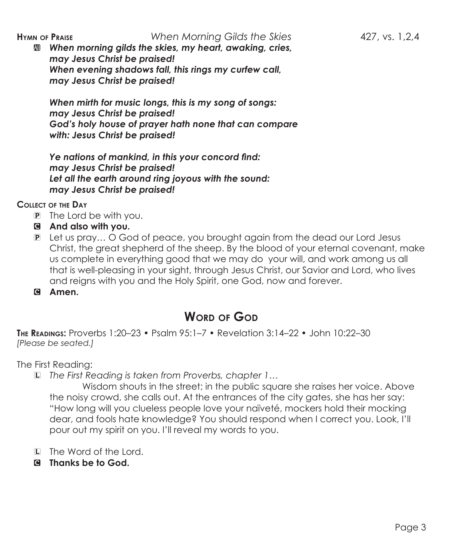### **Hymn of Praise** *When Morning Gilds the Skies* 427, vs. 1,2,4

a *When morning gilds the skies, my heart, awaking, cries, may Jesus Christ be praised! When evening shadows fall, this rings my curfew call, may Jesus Christ be praised!*

*When mirth for music longs, this is my song of songs: may Jesus Christ be praised! God's holy house of prayer hath none that can compare with: Jesus Christ be praised!*

*Ye nations of mankind, in this your concord find: may Jesus Christ be praised! Let all the earth around ring joyous with the sound: may Jesus Christ be praised!*

**Collect of the Day** 

- P The Lord be with you.
- C **And also with you.**
- P Let us pray… O God of peace, you brought again from the dead our Lord Jesus Christ, the great shepherd of the sheep. By the blood of your eternal covenant, make us complete in everything good that we may do your will, and work among us all that is well-pleasing in your sight, through Jesus Christ, our Savior and Lord, who lives and reigns with you and the Holy Spirit, one God, now and forever.
- C **Amen.**

## **Word of God**

**The Readings:** Proverbs 1:20–23 • Psalm 95:1–7 • Revelation 3:14–22 • John 10:22–30 *[Please be seated.]*

The First Reading:

L *The First Reading is taken from Proverbs, chapter 1…*

 Wisdom shouts in the street; in the public square she raises her voice. Above the noisy crowd, she calls out. At the entrances of the city gates, she has her say: "How long will you clueless people love your naïveté, mockers hold their mocking dear, and fools hate knowledge? You should respond when I correct you. Look, I'll pour out my spirit on you. I'll reveal my words to you.

- L The Word of the Lord.
- C **Thanks be to God.**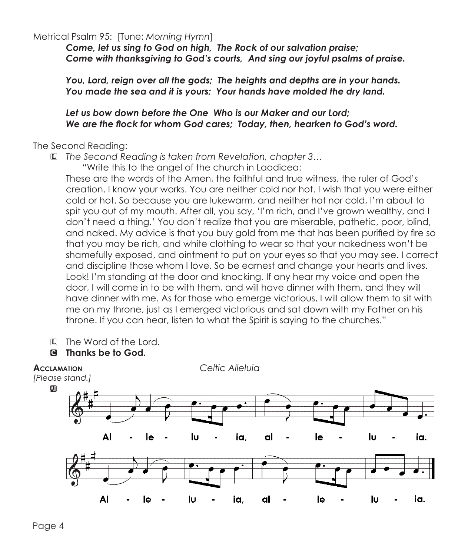Metrical Psalm 95: [Tune: *Morning Hymn*]

*Come, let us sing to God on high, The Rock of our salvation praise; Come with thanksgiving to God's courts, And sing our joyful psalms of praise.*

*You, Lord, reign over all the gods; The heights and depths are in your hands. You made the sea and it is yours; Your hands have molded the dry land.*

#### *Let us bow down before the One Who is our Maker and our Lord; We are the flock for whom God cares; Today, then, hearken to God's word.*

The Second Reading:

L *The Second Reading is taken from Revelation, chapter 3…*

"Write this to the angel of the church in Laodicea:

These are the words of the Amen, the faithful and true witness, the ruler of God's creation. I know your works. You are neither cold nor hot. I wish that you were either cold or hot. So because you are lukewarm, and neither hot nor cold, I'm about to spit you out of my mouth. After all, you say, 'I'm rich, and I've grown wealthy, and I don't need a thing.' You don't realize that you are miserable, pathetic, poor, blind, and naked. My advice is that you buy gold from me that has been purified by fire so that you may be rich, and white clothing to wear so that your nakedness won't be shamefully exposed, and ointment to put on your eyes so that you may see. I correct and discipline those whom I love. So be earnest and change your hearts and lives. Look! I'm standing at the door and knocking. If any hear my voice and open the door, I will come in to be with them, and will have dinner with them, and they will have dinner with me. As for those who emerge victorious, I will allow them to sit with me on my throne, just as I emerged victorious and sat down with my Father on his throne. If you can hear, listen to what the Spirit is saying to the churches."

- L The Word of the Lord.
- C **Thanks be to God.**

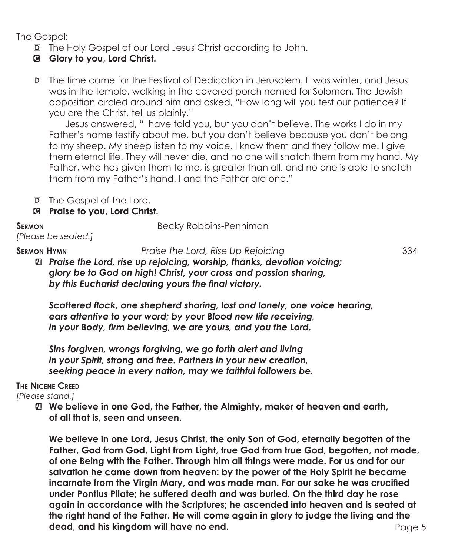The Gospel:

- D The Holy Gospel of our Lord Jesus Christ according to John.
- C **Glory to you, Lord Christ.**
- D The time came for the Festival of Dedication in Jerusalem. It was winter, and Jesus was in the temple, walking in the covered porch named for Solomon. The Jewish opposition circled around him and asked, "How long will you test our patience? If you are the Christ, tell us plainly."

Jesus answered, "I have told you, but you don't believe. The works I do in my Father's name testify about me, but you don't believe because you don't belong to my sheep. My sheep listen to my voice. I know them and they follow me. I give them eternal life. They will never die, and no one will snatch them from my hand. My Father, who has given them to me, is greater than all, and no one is able to snatch them from my Father's hand. I and the Father are one."

- D The Gospel of the Lord.
- C **Praise to you, Lord Christ.**

**SERMON** Becky Robbins-Penniman

*[Please be seated.]*

**Sermon Hymn** *Praise the Lord, Rise Up Rejoicing* 334

a *Praise the Lord, rise up rejoicing, worship, thanks, devotion voicing; glory be to God on high! Christ, your cross and passion sharing, by this Eucharist declaring yours the final victory.*

*Scattered flock, one shepherd sharing, lost and lonely, one voice hearing, ears attentive to your word; by your Blood new life receiving, in your Body, firm believing, we are yours, and you the Lord.*

*Sins forgiven, wrongs forgiving, we go forth alert and living in your Spirit, strong and free. Partners in your new creation, seeking peace in every nation, may we faithful followers be.*

**The Nicene Creed**

*[Please stand.]*

 $\mathbf{M}$  We believe in one God, the Father, the Almighty, maker of heaven and earth,  **of all that is, seen and unseen.**

Page 5  **We believe in one Lord, Jesus Christ, the only Son of God, eternally begotten of the Father, God from God, Light from Light, true God from true God, begotten, not made, of one Being with the Father. Through him all things were made. For us and for our salvation he came down from heaven: by the power of the Holy Spirit he became incarnate from the Virgin Mary, and was made man. For our sake he was crucified under Pontius Pilate; he suffered death and was buried. On the third day he rose again in accordance with the Scriptures; he ascended into heaven and is seated at the right hand of the Father. He will come again in glory to judge the living and the dead, and his kingdom will have no end.**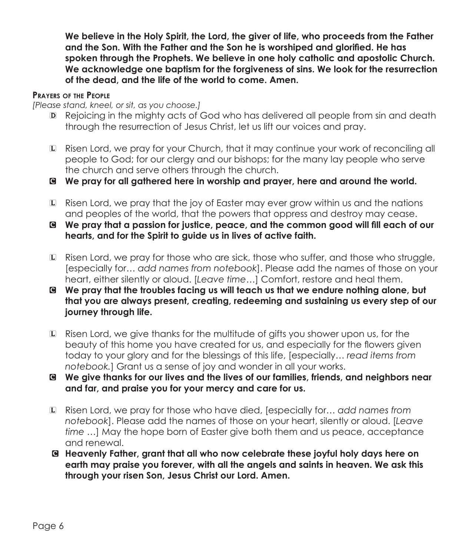**We believe in the Holy Spirit, the Lord, the giver of life, who proceeds from the Father and the Son. With the Father and the Son he is worshiped and glorified. He has spoken through the Prophets. We believe in one holy catholic and apostolic Church. We acknowledge one baptism for the forgiveness of sins. We look for the resurrection of the dead, and the life of the world to come. Amen.**

#### **Prayers of the People**

*[Please stand, kneel, or sit, as you choose.]*

- D Rejoicing in the mighty acts of God who has delivered all people from sin and death through the resurrection of Jesus Christ, let us lift our voices and pray.
- L Risen Lord, we pray for your Church, that it may continue your work of reconciling all people to God; for our clergy and our bishops; for the many lay people who serve the church and serve others through the church.
- C **We pray for all gathered here in worship and prayer, here and around the world.**
- L Risen Lord, we pray that the joy of Easter may ever grow within us and the nations and peoples of the world, that the powers that oppress and destroy may cease.
- C **We pray that a passion for justice, peace, and the common good will fill each of our hearts, and for the Spirit to guide us in lives of active faith.**
- L Risen Lord, we pray for those who are sick, those who suffer, and those who struggle, [especially for… *add names from notebook*]. Please add the names of those on your heart, either silently or aloud. [*Leave time…*] Comfort, restore and heal them.
- C **We pray that the troubles facing us will teach us that we endure nothing alone, but that you are always present, creating, redeeming and sustaining us every step of our journey through life.**
- L Risen Lord, we give thanks for the multitude of gifts you shower upon us, for the beauty of this home you have created for us, and especially for the flowers given today to your glory and for the blessings of this life, [especially… *read items from notebook.*] Grant us a sense of joy and wonder in all your works.
- C **We give thanks for our lives and the lives of our families, friends, and neighbors near and far, and praise you for your mercy and care for us.**
- L Risen Lord, we pray for those who have died, [especially for… *add names from notebook*]. Please add the names of those on your heart, silently or aloud. [*Leave time …*] May the hope born of Easter give both them and us peace, acceptance and renewal.
- C **Heavenly Father, grant that all who now celebrate these joyful holy days here on earth may praise you forever, with all the angels and saints in heaven. We ask this through your risen Son, Jesus Christ our Lord. Amen.**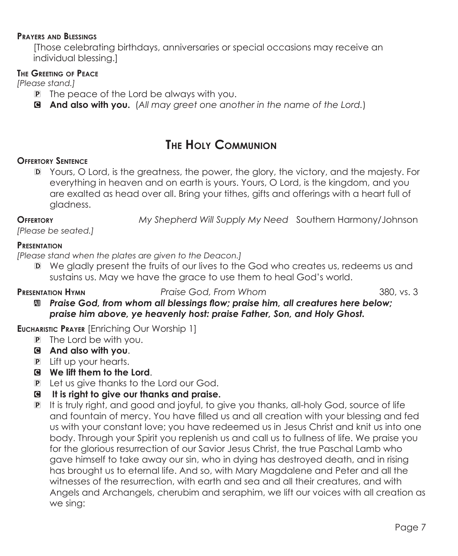#### **Prayers and Blessings**

[Those celebrating birthdays, anniversaries or special occasions may receive an individual blessing.]

#### **The Greeting of Peace**

*[Please stand.]*

- P The peace of the Lord be always with you.
- C **And also with you.** (*All may greet one another in the name of the Lord.*)

## **The Holy Communion**

### **Offertory Sentence**

D Yours, O Lord, is the greatness, the power, the glory, the victory, and the majesty. For everything in heaven and on earth is yours. Yours, O Lord, is the kingdom, and you are exalted as head over all. Bring your tithes, gifts and offerings with a heart full of gladness.

**Offertory** *My Shepherd Will Supply My Need* Southern Harmony/Johnson

*[Please be seated.]*

#### **Presentation**

*[Please stand when the plates are given to the Deacon.]*

D We gladly present the fruits of our lives to the God who creates us, redeems us and sustains us. May we have the grace to use them to heal God's world.

**Presentation Hymn** *Praise God, From Whom* 380, vs. 3

a *Praise God, from whom all blessings flow; praise him, all creatures here below; praise him above, ye heavenly host: praise Father, Son, and Holy Ghost.*

### **Eucharistic Prayer** [Enriching Our Worship 1]

- P The Lord be with you.
- C **And also with you**.
- P Lift up your hearts.
- C **We lift them to the Lord**.
- P Let us give thanks to the Lord our God.
- C **It is right to give our thanks and praise.**
- P It is truly right, and good and joyful, to give you thanks, all-holy God, source of life and fountain of mercy. You have filled us and all creation with your blessing and fed us with your constant love; you have redeemed us in Jesus Christ and knit us into one body. Through your Spirit you replenish us and call us to fullness of life. We praise you for the glorious resurrection of our Savior Jesus Christ, the true Paschal Lamb who gave himself to take away our sin, who in dying has destroyed death, and in rising has brought us to eternal life. And so, with Mary Magdalene and Peter and all the witnesses of the resurrection, with earth and sea and all their creatures, and with Angels and Archangels, cherubim and seraphim, we lift our voices with all creation as we sing: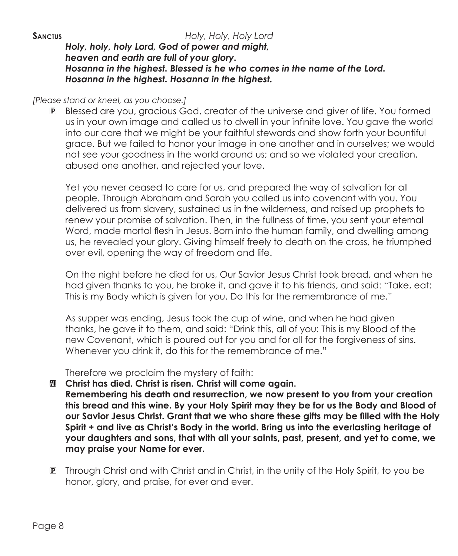### *Holy, holy, holy Lord, God of power and might, heaven and earth are full of your glory. Hosanna in the highest. Blessed is he who comes in the name of the Lord. Hosanna in the highest. Hosanna in the highest.*

#### *[Please stand or kneel, as you choose.]*

P Blessed are you, gracious God, creator of the universe and giver of life. You formed us in your own image and called us to dwell in your infinite love. You gave the world into our care that we might be your faithful stewards and show forth your bountiful grace. But we failed to honor your image in one another and in ourselves; we would not see your goodness in the world around us; and so we violated your creation, abused one another, and rejected your love.

 Yet you never ceased to care for us, and prepared the way of salvation for all people. Through Abraham and Sarah you called us into covenant with you. You delivered us from slavery, sustained us in the wilderness, and raised up prophets to renew your promise of salvation. Then, in the fullness of time, you sent your eternal Word, made mortal flesh in Jesus. Born into the human family, and dwelling among us, he revealed your glory. Giving himself freely to death on the cross, he triumphed over evil, opening the way of freedom and life.

 On the night before he died for us, Our Savior Jesus Christ took bread, and when he had given thanks to you, he broke it, and gave it to his friends, and said: "Take, eat: This is my Body which is given for you. Do this for the remembrance of me."

As supper was ending, Jesus took the cup of wine, and when he had given thanks, he gave it to them, and said: "Drink this, all of you: This is my Blood of the new Covenant, which is poured out for you and for all for the forgiveness of sins. Whenever you drink it, do this for the remembrance of me."

Therefore we proclaim the mystery of faith:

- $\mathbf{u}$  Christ has died. Christ is risen. Christ will come again.  **Remembering his death and resurrection, we now present to you from your creation this bread and this wine. By your Holy Spirit may they be for us the Body and Blood of our Savior Jesus Christ. Grant that we who share these gifts may be filled with the Holy Spirit + and live as Christ's Body in the world. Bring us into the everlasting heritage of your daughters and sons, that with all your saints, past, present, and yet to come, we may praise your Name for ever.**
- P Through Christ and with Christ and in Christ, in the unity of the Holy Spirit, to you be honor, glory, and praise, for ever and ever.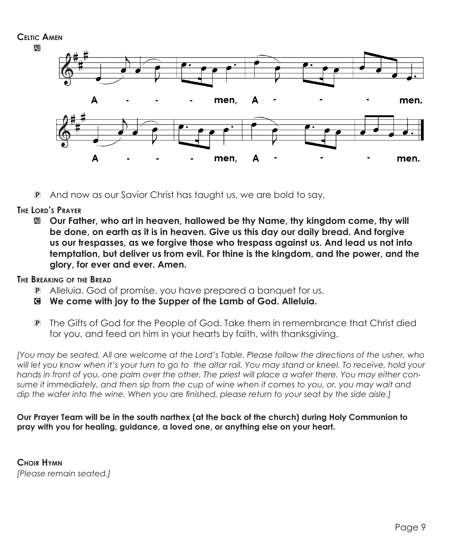

P And now as our Savior Christ has taught us, we are bold to say,

#### **The Lord's Prayer**

 $\mathbf{u}$  **Our Father, who art in heaven, hallowed be thy Name, thy kingdom come, thy will be done, on earth as it is in heaven. Give us this day our daily bread. And forgive us our trespasses, as we forgive those who trespass against us. And lead us not into temptation, but deliver us from evil. For thine is the kingdom, and the power, and the glory, for ever and ever. Amen.**

### **The Breaking of the Bread**

- P Alleluia. God of promise, you have prepared a banquet for us.
- C **We come with joy to the Supper of the Lamb of God. Alleluia.**
- P The Gifts of God for the People of God. Take them in remembrance that Christ died for you, and feed on him in your hearts by faith, with thanksgiving.

*[You may be seated. All are welcome at the Lord's Table. Please follow the directions of the usher, who*  will let you know when it's your turn to go to the altar rail. You may stand or kneel. To receive, hold your *hands in front of you, one palm over the other. The priest will place a wafer there. You may either consume it immediately, and then sip from the cup of wine when it comes to you, or, you may wait and dip the wafer into the wine. When you are finished, please return to your seat by the side aisle.]*

#### **Our Prayer Team will be in the south narthex (at the back of the church) during Holy Communion to pray with you for healing, guidance, a loved one, or anything else on your heart.**

**Choir Hymn** *[Please remain seated.]*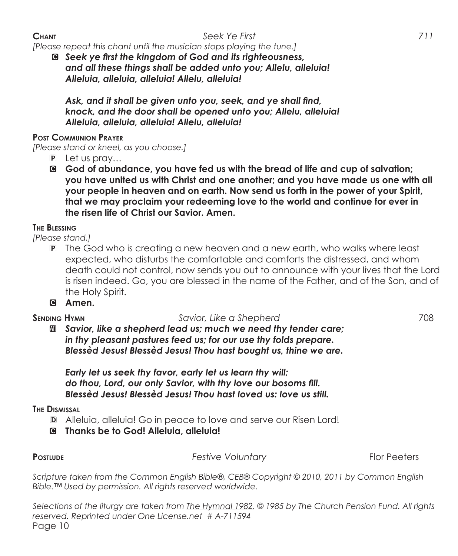### **Chant** *Seek Ye First 711*

*[Please repeat this chant until the musician stops playing the tune.]*

C *Seek ye first the kingdom of God and its righteousness, and all these things shall be added unto you; Allelu, alleluia! Alleluia, alleluia, alleluia! Allelu, alleluia!*

*Ask, and it shall be given unto you, seek, and ye shall find, knock, and the door shall be opened unto you; Allelu, alleluia! Alleluia, alleluia, alleluia! Allelu, alleluia!*

#### **Post Communion Prayer**

*[Please stand or kneel, as you choose.]*

- P Let us pray…
- C **God of abundance, you have fed us with the bread of life and cup of salvation; you have united us with Christ and one another; and you have made us one with all your people in heaven and on earth. Now send us forth in the power of your Spirit, that we may proclaim your redeeming love to the world and continue for ever in the risen life of Christ our Savior. Amen.**

### **The Blessing**

*[Please stand.]*

- P The God who is creating a new heaven and a new earth, who walks where least expected, who disturbs the comfortable and comforts the distressed, and whom death could not control, now sends you out to announce with your lives that the Lord is risen indeed. Go, you are blessed in the name of the Father, and of the Son, and of the Holy Spirit.
- C **Amen.**

**Sending Hymn** *Savior, Like a Shepherd* 708

a *Savior, like a shepherd lead us; much we need thy tender care; in thy pleasant pastures feed us; for our use thy folds prepare. Blessèd Jesus! Blessèd Jesus! Thou hast bought us, thine we are.*

*Early let us seek thy favor, early let us learn thy will; do thou, Lord, our only Savior, with thy love our bosoms fill. Blessèd Jesus! Blessèd Jesus! Thou hast loved us: love us still.*

**The Dismissal**

- D Alleluia, alleluia! Go in peace to love and serve our Risen Lord!
- C **Thanks be to God! Alleluia, alleluia!**

**PostLUDE** *Festive Voluntary* **<b>Festive Festive Voluntary Flor Peeters** 

*Scripture taken from the Common English Bible®, CEB® Copyright © 2010, 2011 by Common English Bible.™ Used by permission. All rights reserved worldwide.*

Page 10 *Selections of the liturgy are taken from The Hymnal 1982, © 1985 by The Church Pension Fund. All rights reserved. Reprinted under One License.net # A-711594*